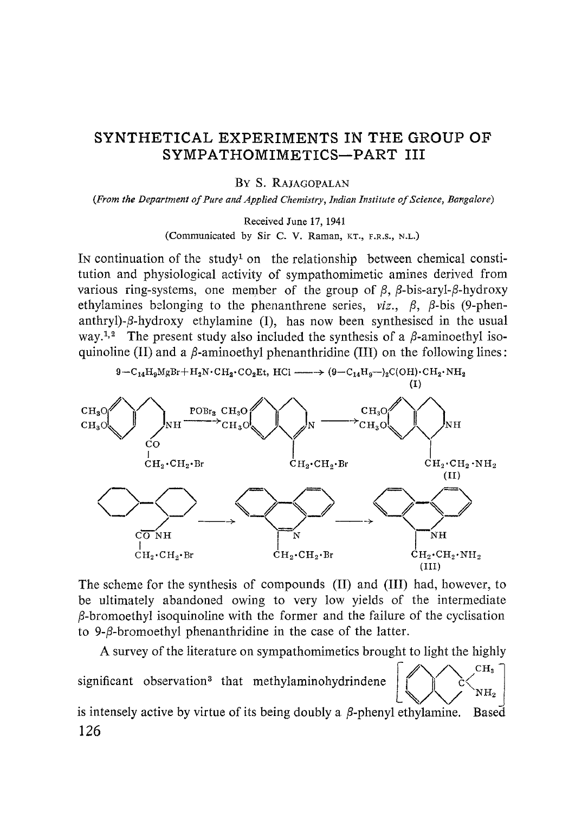# SYNTHETICAL EXPERIMENTS IN THE GROUP OF SYMPATHOMIMETICS-PART III

By S. RAJAGOPALAN

*(From the Department of Pure and Applied Chemistry, Indian Institute of Science, Bangalore)*

Received June 17, 1941

(Communicated by Sir C. V. Raman, KT., F.R.S., N.L.)

IN continuation of the study' on the relationship between chemical constitution and physiological activity of sympathomimetic amines derived from various ring-systems, one member of the group of  $\beta$ ,  $\beta$ -bis-aryl- $\beta$ -hydroxy ethylamines belonging to the phenanthrene series,  $viz, \beta, \beta$ -bis (9-phenanthryl)- $\beta$ -hydroxy ethylamine (I), has now been synthesised in the usual way.<sup>1,2</sup> The present study also included the synthesis of a  $\beta$ -aminoethyl isoquinoline (II) and a  $\beta$ -aminoethyl phenanthridine (III) on the following lines:



The scheme for the synthesis of compounds (II) and (III) had, however, to be ultimately abandoned owing to very low yields of the intermediate  $\beta$ -bromoethyl isoquinoline with the former and the failure of the cyclisation to 9- $\beta$ -bromoethyl phenanthridine in the case of the latter.

A survey of the literature on sympathomimetics brought to light the highly significant observation<sup>3</sup> that methylaminohydrindene  $\left[\sqrt{\phantom{\left(\alpha\right)}\phantom{\left(\alpha\right)}}\right]^{CH_3}}$  $NH<sub>2</sub>$ is intensely active by virtue of its being doubly a  $\beta$ -phenyl ethylamine. Based 126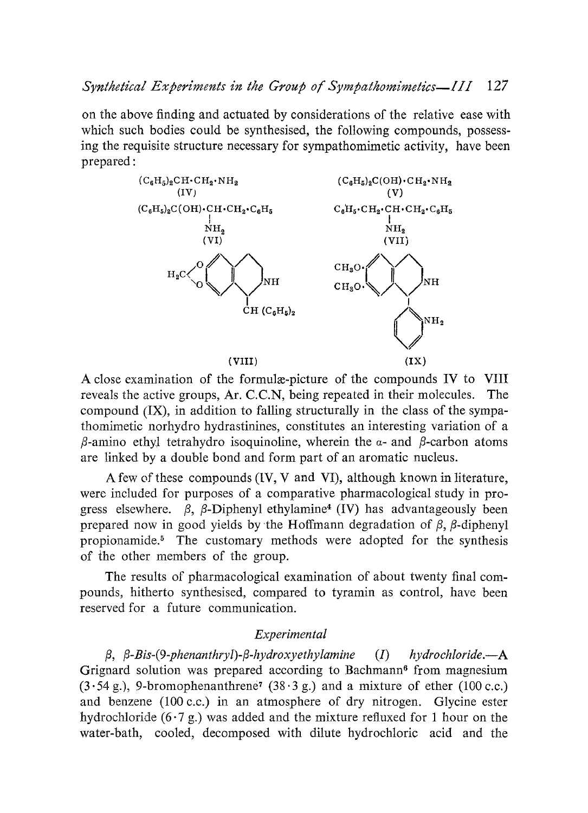on the above finding and actuated by considerations of the relative ease with which such bodies could be synthesised, the following compounds, possessing the requisite structure necessary for sympathomimetic activity, have been prepared:



A close examination of the formula-picture of the compounds IV to VIII reveals the active groups, Ar. C.C.N, being repeated in their molecules. The compound (IX), in addition to falling structurally in the class of the sympathomimetic norhydro hydrastinines, constitutes an interesting variation of a  $\beta$ -amino ethyl tetrahydro isoquinoline, wherein the  $\alpha$ - and  $\beta$ -carbon atoms are linked by a double bond and form part of an aromatic nucleus.

A few of these compounds (IV, V and VI), although known in literature, were included for purposes of a comparative pharmacological study in progress elsewhere.  $\beta$ ,  $\beta$ -Diphenyl ethylamine<sup>4</sup> (IV) has advantageously been prepared now in good yields by the Hoffmann degradation of  $\beta$ ,  $\beta$ -diphenyl propionamide.<sup>5</sup> The customary methods were adopted for the synthesis of the other members of the group.

The results of pharmacological examination of about twenty final compounds, hitherto synthesised, compared to tyramin as control, have been reserved for a future communication.

## *Experimental*

*l3, l3-Eis-(9 phenanthryl)-l3-hydroxyethylamine (I) hydrochloride.—A* Grignard solution was prepared according to Bachmann<sup>6</sup> from magnesium  $(3.54 \text{ g.})$ , 9-bromophenanthrene<sup>7</sup> (38.3 g.) and a mixture of ether (100 c.c.) and benzene (100 c.c.) in an atmosphere of dry nitrogen. Glycine ester hydrochloride  $(6.7 g)$  was added and the mixture refluxed for 1 hour on the water-bath, cooled, decomposed with dilute hydrochloric acid and the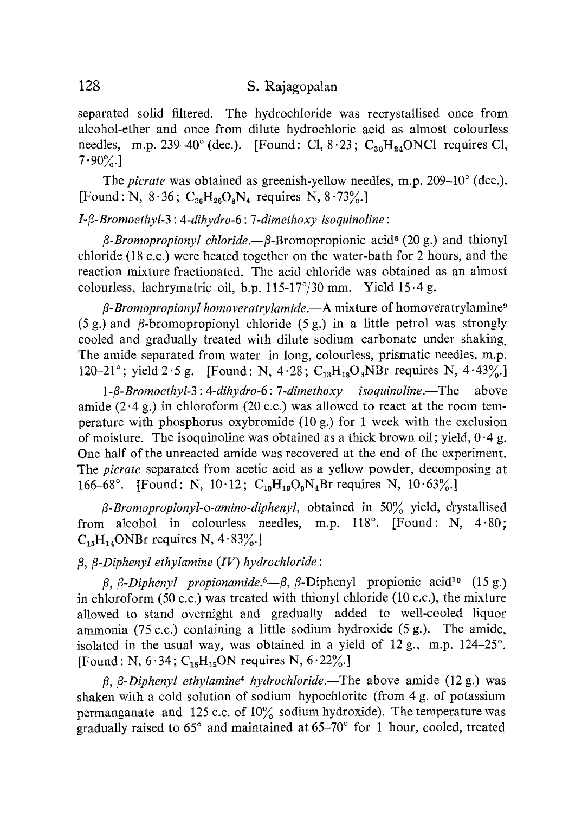separated solid filtered. The hydrochloride was recrystallised once from alcohol-ether and once from dilute hydrochloric acid as almost colourless needles, m.p. 239-40° (dec.). [Found: Cl,  $8.23$ ;  $C_{30}H_{24}$ ONC1 requires Cl,  $7.90\%$ 

The *picrate* was obtained as greenish-yellow needles, m.p. *209-10°* (dec.). [Found: N, *8.36; C*36H2608N4 requires N, *8.73%.]*

## *I-(3-Bromoethyl-3 : 4-dihydro-6 : 7-dimethoxy isoquinoline:*

*(3-Bromopropionyl chloride.—/3-*Bromopropionic acid8 *(20* g.) and thionyl chloride *(18 c.c.)* were heated together on the water-bath for *2* hours, and the reaction mixture fractionated. The acid chloride was obtained as an almost colourless, lachrymatric oil, b.p. *115-17°/30* mm. Yield *15•4* g.

*/3-Bromopropionyl homoveratrylamide.—A* mixture of homoveratrylamine <sup>9</sup> (5 g.) and (3-bromopropionyl chloride *(5* g.) in a little petrol was strongly cooled and gradually treated with dilute sodium carbonate under shaking. The amide separated from water in long, colourless, prismatic needles, m.p. *120-21°;* yield *2.5* g. [Found: N, *4.28 ; C*13H18O **3**NBr requires N, *4.43%.]*

*1-/3-Bromoethyl-3 : 4-dihydro-6: 7-dimethoxy isoquinoline.—The* above amide *(2.4* g.) in chloroform *(20 c.c.)* was allowed to react at the room temperature with phosphorus oxybromide (10 g.) for 1 week with the exclusion of moisture. The isoquinoline was obtained as a thick brown oil; yield,  $0.4$  g. One half of the unreacted amide was recovered at the end of the experiment. The *picrate* separated from acetic acid as a yellow powder, decomposing at *166-68 ° . [*Found: N, *10.12; C*19H19**O9**N4Br requires N, *10.63%.]*

*/3-Bromopropionyl-o-amino-diphenyl,* obtained in *50%* yield, crystallised from alcohol in colourless needles, m.p. 118°. [Found: N, 4.80;  $C_{15}H_{14}$ ONBr requires N,  $4.83\%$ .]

# */3, (3-Diphenyl ethylamine (IV) hydrochloride:*

*/3, (3-Diphenyl propionamide. <sup>5</sup>—/3,* j3-Diphenyl propionic acidly *(15 g.)* in chloroform *(50 c.c.)* was treated with thionyl chloride (10 c.c.), the mixture allowed to stand overnight and gradually added to well-cooled liquor ammonia *(75 c.c.)* containing a little sodium hydroxide (5 g.). The amide, isolated in the usual way, was obtained in a yield of *12* g., m.p. 124-25°. [Found: N, 6.34; C<sub>15</sub>H<sub>15</sub>ON requires N, 6.22%.]

*/3, l3-Diphenyl ethylamine4 hydrochloride.—The* above amide *(12* g.) was shaken with a cold solution of sodium hypochlorite (from *4* g. of potassium permanganate and 125 c.c. of 10% sodium hydroxide). The temperature was gradually raised to *65°* and maintained at 65-70° for 1 hour, cooled, treated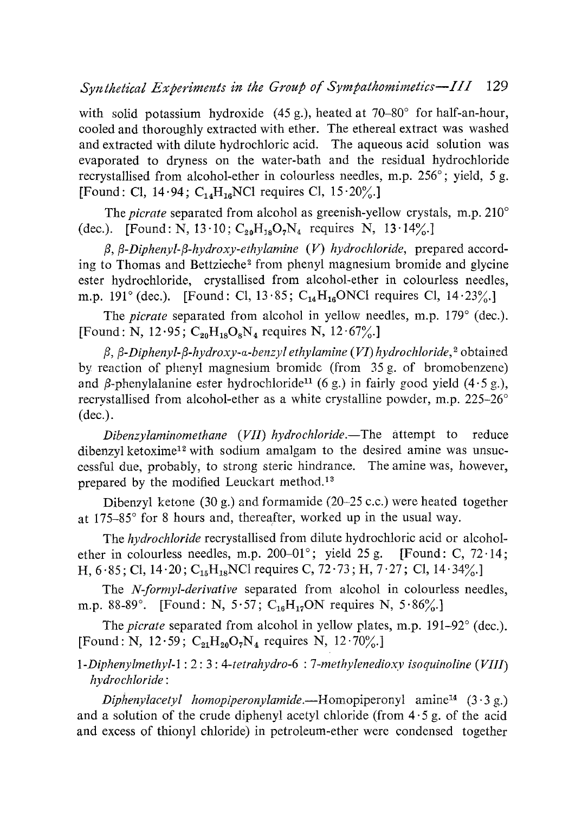with solid potassium hydroxide (45 g.), heated at 70–80° for half-an-hour, cooled and thoroughly extracted with ether. The ethereal extract was washed and extracted with dilute hydrochloric acid. The aqueous acid solution was evaporated to dryness on the water-bath and the residual hydrochloride recrystallised from alcohol-ether in colourless needles, m.p. 256°; yield, 5 g. [Found: Cl, 14.94;  $C_{14}H_{16}NCl$  requires Cl, 15.20%.]

The *picrate* separated from alcohol as greenish-yellow crystals, m.p. 210° (dec.). [Found: N, 13.10;  $C_{20}H_{18}O_7N_4$  requires N, 13.14%.]

*l3, /3-Diphenyl-(3-hydroxy-ethylamine (V) hydrochloride,* prepared according to Thomas and Bettzieche<sup>2</sup> from phenyl magnesium bromide and glycine ester hydrochloride, crystallised from alcohol-ether in colourless needles, m.p. 191° (dec.). [Found: Cl, 13.85;  $C_{14}H_{16}$ ONCl requires Cl, 14.23%.]

The *picrate* separated from alcohol in yellow needles, m.p. 179° (dec.). [Found: N, 12.95;  $C_{20}H_{18}O_8N_4$  requires N, 12.67%.]

 $\beta$ , *β*-*Diphenyl-β-hydroxy-α-benzyl ethylamine (VI) hydrochloride*,<sup>2</sup> obtained by reaction of phenyl magnesium bromide (from 35 g. of bromobenzene) and  $\beta$ -phenylalanine ester hydrochloride<sup>11</sup> (6 g.) in fairly good yield (4.5 g.), recrystallised from alcohol-ether as a white crystalline powder, m.p. 225-26° (dec.).

*Dibenzylaminomethane (VII) hydrochloride.—The* attempt to reduce dibenzyl ketoxime<sup>12</sup> with sodium amalgam to the desired amine was unsuccessful due, probably, to strong steric hindrance. The amine was, however, prepared by the modified Leuckart method.<sup>13</sup>

Dibenzyl ketone (30 g.) and formamide (20-25 c.c.) were heated together at 175-85° for 8 hours and, thereafter, worked up in the usual way.

The *hydrochloride* recrystallised from dilute hydrochloric acid or alcoholether in colourless needles, m.p. 200-01°; yield 25 g. [Found: C, 72·14; H, 6.85; Cl, 14.20; C<sub>15</sub>H<sub>18</sub>NCl requires C, 72.73; H, 7.27; Cl, 14.34%.]

The *N forrnyl-derivative* separated from alcohol in colourless needles, m.p. 88-89°. [Found: N, 5.57;  $C_{16}H_{17}ON$  requires N, 5.86%.]

The *picrate* separated from alcohol in yellow plates, m.p. 191-92<sup>°</sup> (dec.). [Found: N, 12.59;  $C_{21}H_{20}O_7N_4$  requires N, 12.70%.]

*1-Diphenylmethyl-1 : 2: 3: 4-tetrahydro-6 : 7-methylenedioxy isoquinoline (VIII) hydrochloride:*

*Diphenylacetyl homopiperonylamide.—Homopiperonyl* amine14 (3.3 g.) and a solution of the crude diphenyl acetyl chloride (from  $4.5$  g. of the acid and excess of thionyl chloride) in petroleum-ether were condensed together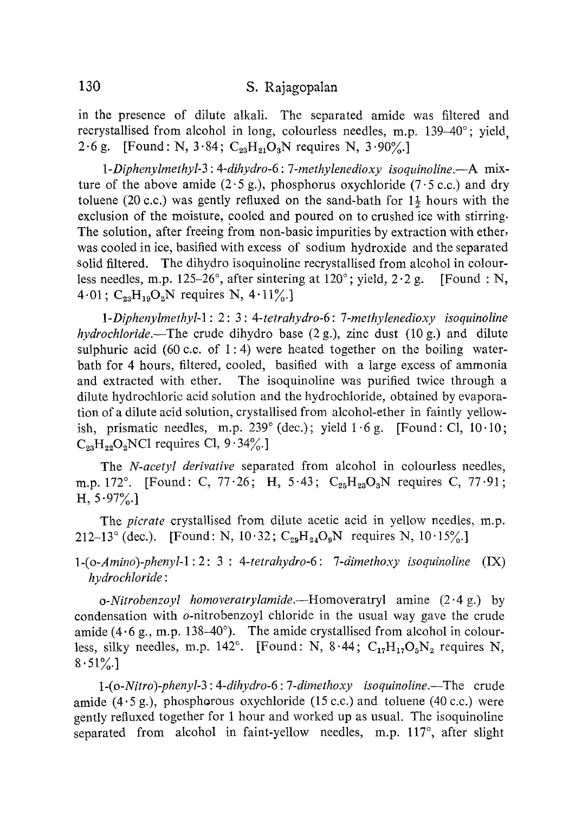# 130 S. Rajagopalan

in the presence of dilute alkali. The separated amide was filtered and recrystallised from alcohol in long, colourless needles, m.p. *139-40°;* yield, 2.6 g. [Found: N, 3.84;  $C_{23}H_{21}O_3N$  requires N, 3.90%.]

*1-Diphenylmethyl-3 : 4-dihydro-6: 7-methylenedioxy isoquinoline.—A mix*ture of the above amide  $(2.5 g)$ , phosphorus oxychloride  $(7.5 c.c.)$  and dry toluene (20 c.c.) was gently refluxed on the sand-bath for  $1\frac{1}{2}$  hours with the exclusion of the moisture, cooled and poured on to crushed ice with stirring. The solution, after freeing from non-basic impurities by extraction with ether, was cooled in ice, basified with excess of sodium hydroxide and the separated solid filtered. The dihydro isoquinoline recrystallised from alcohol in colourless needles, m.p. *125-26°,* after sintering at 120°; yield, *2.2 g.* [Found : N,  $4.01$ ;  $C_{23}H_{19}O_2N$  requires N,  $4.11\%$ .

*1-Diphenylmethyl-l: 2: 3: 4-tetrahydro-6: 7-methylenedioxy isoquinoline hydrochloride.—The* crude dihydro base *(2 g.), zinc* dust (10 g.) and dilute sulphuric acid (60 c.c. of 1:4) were heated together on the boiling waterbath for 4 hours, filtered, cooled, basified with a large excess of ammonia and extracted with ether. The isoquinoline was purified twice through a dilute hydrochloric acid solution and the hydrochloride, obtained by evaporation of a dilute acid solution, crystallised from alcohol-ether in faintly yellowish, prismatic needles, m.p.  $239^{\circ}$  (dec.); yield  $1.6$  g. [Found: Cl,  $10.10$ ;  $C_{23}H_{22}O_2NC1$  requires Cl,  $9.34\%$ .]

The *N-acetyl derivative* separated from alcohol in colourless needles, m.p. 172°. [Found: C, 77.26; H, 5.43; C<sub>25</sub>H<sub>23</sub>O<sub>3</sub>N requires C, 77.91; H, *5.97%.]*

The *picrate* crystallised from dilute acetic acid in yellow needles, m.p. 212-13° (dec.). [Found: N,  $10.32$ ;  $C_{29}H_{24}O_9N$  requires N,  $10.15\%$ ]

*<sup>1</sup> -(o-Amino) phenyl-1 : 2: 3 : 4-tetrahydro-6: 7-dimethoxy isoquinoline (IX) hydrochloride:*

*o-Nitrobenzoyl homoveratrylamide.—Homoveratryl* amine *(2.4 g.) by* condensation with o-nitrobenzoyl chloride in the usual way gave the crude amide  $(4.6 \text{ g.}, \text{m.p. } 138-40^{\circ})$ . The amide crystallised from alcohol in colourless, silky needles, m.p. 142°. [Found: N, 8.44;  $C_{17}H_{17}O_5N_2$  requires N, *8.51%.]*

*1-(o-Nitro)-phenyl-3: 4-dihydro-6: 7-dimethoxy isoquinoline. —The* crude amide  $(4.5 \text{ g.})$ , phosphorous oxychloride  $(15 \text{ c.c.})$  and toluene  $(40 \text{ c.c.})$  were gently refiuxed together for 1 hour and worked up as usual. The isoquinoline separated from alcohol in faint-yellow needles, m.p. *117°,* after slight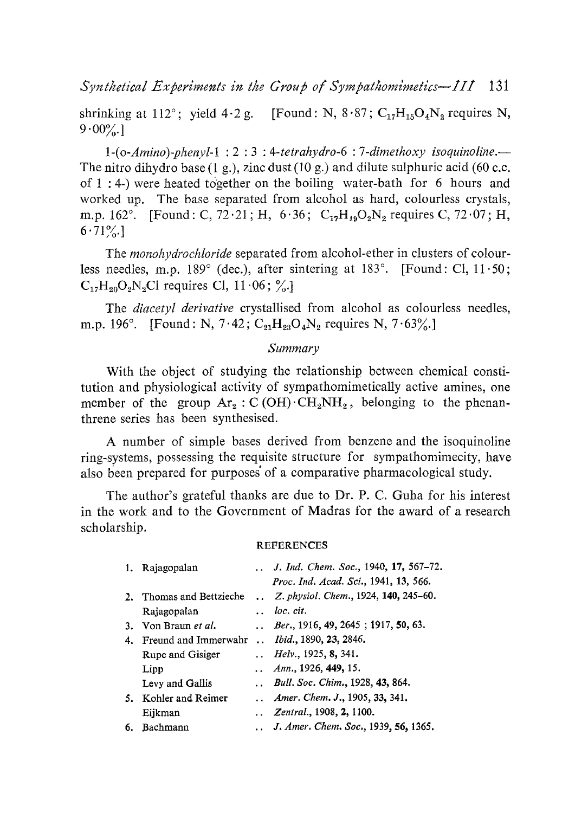Synthetical Experiments in the Group of Sympathomimetics--111 131

shrinking at 112°; yield 4.2 g. [Found: N,  $8.87$ ; C<sub>17</sub>H<sub>15</sub>O<sub>4</sub>N<sub>2</sub> requires N,  $9.00\%$ ]

*1-(o-Amino) phenyl-1 : 2: 3: 4-tetrahydro-6 : 7-dimethoxy isoquinoline.-* The nitro dihydro base (1 g.), zinc dust (10 g.) and dilute sulphuric acid (60 c.c. of 1 : 4-) were heated together on the boiling water-bath for 6 hours and worked up. The base separated from alcohol as hard, colourless crystals, m.p. 162°. [Found: C, 72.21; H, 6.36; C<sub>12</sub>H<sub>19</sub>O<sub>2</sub>N<sub>2</sub> requires C, 72.07; H,  $6.71\%$ ]

The *monohydrochloride* separated from alcohol-ether in clusters of colourless needles, m.p. 189° (dec.), after sintering at 183°. [Found: Cl, 11.50;  $C_{17}H_{20}O_2N_2Cl$  requires Cl,  $11.06$ ; %.

The *diacetyl derivative* crystallised from alcohol as colourless needles, m.p. 196°. [Found: N, 7.42;  $C_{21}H_{23}O_4N_2$  requires N, 7.63%.]

### *Summary*

With the object of studying the relationship between chemical constitution and physiological activity of sympathomimetically active amines, one member of the group  $Ar_2: C(OH) \cdot CH_2NH_2$ , belonging to the phenanthrene series has been synthesised.

A number of simple bases derived from benzene and the isoquinoline ring-systems, possessing the requisite structure for sympathomimecity, have also been prepared for purposes` of a comparative pharmacological study.

The author's grateful thanks are due to Dr. P. C. Guha for his interest in the work and to the Government of Madras for the award of a research scholarship.

#### REFERENCES

| 1. | Rajagopalan           |                      | ., J. Ind. Chem. Soc., 1940, 17, 567–72.     |
|----|-----------------------|----------------------|----------------------------------------------|
|    |                       |                      | Proc. Ind. Acad. Sci., 1941, 13, 566.        |
| 2. | Thomas and Bettzieche | $\ddot{\phantom{0}}$ | Z. physiol. Chem., 1924, 140, 245–60.        |
|    | Rajagopalan           |                      | loc. cit.                                    |
| 3. | Von Braun et al.      |                      | $\ldots$ Ber., 1916, 49, 2645; 1917, 50, 63. |
| 4. | Freund and Immerwahr  |                      | <i>Ibid.</i> , 1890, 23, 2846.               |
|    | Rupe and Gisiger      |                      | <i>Helv.</i> , 1925, <b>8</b> , 341.         |
|    | Lipp                  |                      | $\ldots$ Ann., 1926, 449, 15.                |
|    | Levy and Gallis       |                      | Bull. Soc. Chim., 1928, 43, 864.             |
| 5. | Kohler and Reimer     |                      | ., Amer. Chem. J., 1905, 33, 341.            |
|    | Eijkman               |                      | Zentral., 1908, 2, 1100.                     |
| 6. | Bachmann              |                      | J. Amer. Chem. Soc., 1939, 56, 1365.         |